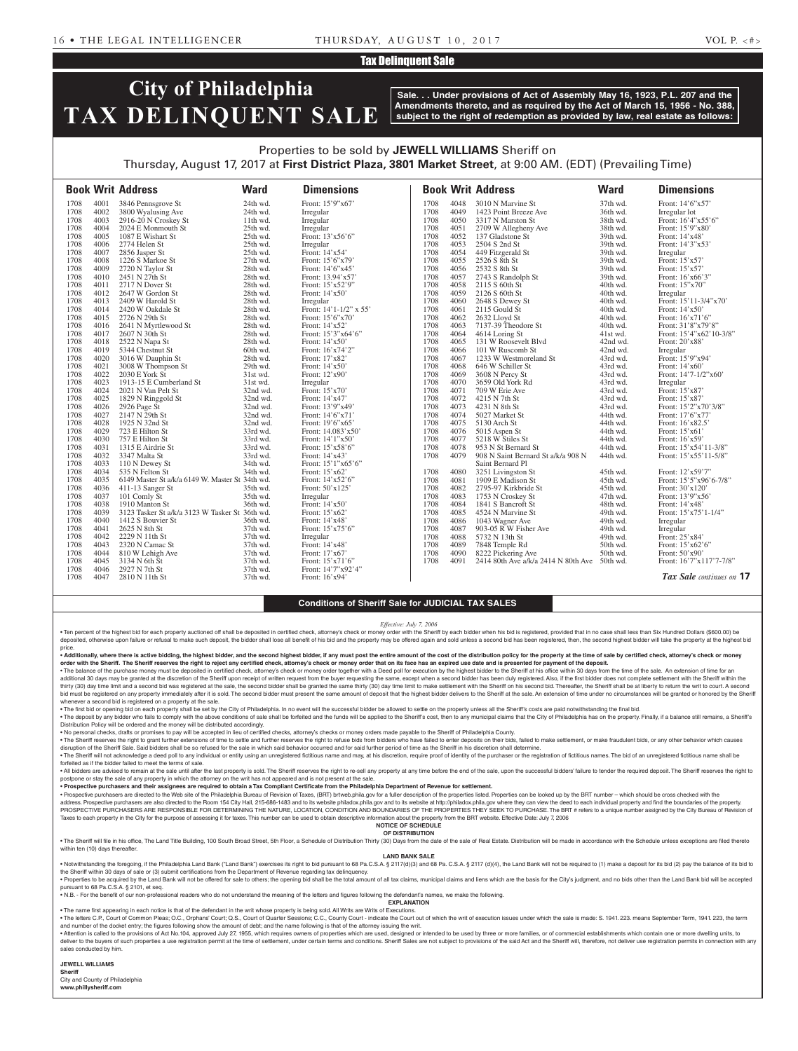## Tax Delinquent Sale

# **City of Philadelphia TAX DELINQUENT SALE**

**Sale. . . Under provisions of Act of Assembly May 16, 1923, P.L. 207 and the Amendments thereto, and as required by the Act of March 15, 1956 - No. 388, subject to the right of redemption as provided by law, real estate as follows:**

## Properties to be sold by **JEWELL WILLIAMS** Sheriff on Thursday, August 17, 2017 at **First District Plaza, 3801 Market Street**, at 9:00 AM. (EDT) (Prevailing Time)

|      |      | <b>Book Writ Address</b>                        | <b>Ward</b> | <b>Dimensions</b>                               |      |      | <b>Book Writ Address</b>                       | <b>Ward</b> | <b>Dimensions</b>           |
|------|------|-------------------------------------------------|-------------|-------------------------------------------------|------|------|------------------------------------------------|-------------|-----------------------------|
| 1708 | 4001 | 3846 Pennsgrove St                              | 24th wd.    | Front: 15'9"x67'                                | 1708 | 4048 | 3010 N Marvine St                              | 37th wd.    | Front: 14'6"x57"            |
| 1708 | 4002 | 3800 Wyalusing Ave                              | 24th wd.    | Irregular                                       | 1708 | 4049 | 1423 Point Breeze Ave                          | 36th wd.    | Irregular lot               |
| 1708 | 4003 | 2916-20 N Croskey St                            | 11th wd.    | Irregular                                       | 1708 | 4050 | 3317 N Marston St                              | 38th wd.    | Front: 16'4"x55'6"          |
| 1708 | 4004 | 2024 E Monmouth St                              | 25th wd.    | Irregular                                       | 1708 | 4051 | 2709 W Allegheny Ave                           | 38th wd.    | Front: 15'9"x80"            |
| 1708 | 4005 | 1087 E Wishart St                               | 25th wd.    | Front: 13'x56'6"                                | 1708 | 4052 | 137 Gladstone St                               | 39th wd.    | Front: 14'x48'              |
| 1708 | 4006 | 2774 Helen St                                   | 25th wd.    | Irregular                                       | 1708 | 4053 | 2504 S 2nd St                                  | 39th wd.    | Front: 14'3"x53'            |
| 1708 | 4007 | 2856 Jasper St                                  | 25th wd.    | Front: 14'x54'                                  | 1708 | 4054 | 449 Fitzgerald St                              | 39th wd.    | Irregular                   |
| 1708 | 4008 | 1226 S Markoe St                                | 27th wd.    | Front: 15'6"x79'                                | 1708 | 4055 | 2526 S 8th St                                  | 39th wd.    | Front: $15'x57'$            |
| 1708 | 4009 | 2720 N Taylor St                                | 28th wd.    | Front: 14'6"x45'                                | 1708 | 4056 | 2532 S 8th St                                  | 39th wd.    | Front: 15'x57'              |
| 1708 | 4010 | 2451 N 27th St                                  | 28th wd.    | Front: 13.94'x57'                               | 1708 | 4057 | 2743 S Randolph St                             | 39th wd.    | Front: 16'x66'3"            |
| 1708 | 4011 | 2717 N Dover St                                 | 28th wd.    | Front: 15'x52'9"                                | 1708 | 4058 | 2115 S 60th St                                 | 40th wd.    | Front: 15"x70"              |
| 1708 | 4012 | 2647 W Gordon St                                | 28th wd.    | Front: $14'x50'$                                | 1708 | 4059 | 2126 S 60th St                                 | 40th wd.    | Irregular                   |
| 1708 | 4013 | 2409 W Harold St                                | 28th wd.    | Irregular                                       | 1708 | 4060 | 2648 S Dewey St                                | 40th wd.    | Front: 15'11-3/4"x70"       |
| 1708 | 4014 | 2420 W Oakdale St                               | 28th wd.    | Front: 14'1-1/2" x 55'                          | 1708 | 4061 | 2115 Gould St                                  | 40th wd.    | Front: 14'x50'              |
| 1708 | 4015 |                                                 |             |                                                 | 1708 |      |                                                |             |                             |
|      |      | 2726 N 29th St                                  | 28th wd.    | Front: $15^{\circ}6^{\prime\prime}x70^{\prime}$ |      | 4062 | 2632 Lloyd St                                  | 40th wd.    | Front: 16'x71'6"            |
| 1708 | 4016 | 2641 N Myrtlewood St                            | 28th wd.    | Front: $14'x52'$                                | 1708 | 4063 | 7137-39 Theodore St                            | 40th wd.    | Front: 31'8"x79'8"          |
| 1708 | 4017 | 2607 N 30th St                                  | 28th wd.    | Front: 15'3"x64'6"                              | 1708 | 4064 | 4614 Loring St                                 | 41st wd.    | Front: $15'4''x62'10-3/8''$ |
| 1708 | 4018 | 2522 N Napa St                                  | 28th wd.    | Front: 14'x50'                                  | 1708 | 4065 | 131 W Roosevelt Blvd                           | 42nd wd.    | Front: 20'x88'              |
| 1708 | 4019 | 5344 Chestnut St                                | 60th wd.    | Front: $16'x74'2"$                              | 1708 | 4066 | 101 W Ruscomb St                               | 42nd wd.    | Irregular                   |
| 1708 | 4020 | 3016 W Dauphin St                               | 28th wd.    | Front: 17'x82'                                  | 1708 | 4067 | 1233 W Westmoreland St                         | 43rd wd.    | Front: $15'9''x94'$         |
| 1708 | 4021 | 3008 W Thompson St                              | 29th wd.    | Front: 14'x50'                                  | 1708 | 4068 | 646 W Schiller St                              | 43rd wd.    | Front: 14'x60'              |
| 1708 | 4022 | $2030$ E York St                                | 31st wd.    | Front: 12'x90'                                  | 1708 | 4069 | 3608 N Percy St                                | 43rd wd.    | Front: 14'7-1/2"x60'        |
| 1708 | 4023 | 1913-15 E Cumberland St                         | 31st wd.    | Irregular                                       | 1708 | 4070 | 3659 Old York Rd                               | 43rd wd.    | Irregular                   |
| 1708 | 4024 | 2021 N Van Pelt St                              | 32nd wd.    | Front: 15'x70'                                  | 1708 | 4071 | 709 W Erie Ave                                 | 43rd wd.    | Front: 15'x87'              |
| 1708 | 4025 | 1829 N Ringgold St                              | 32nd wd.    | Front: 14'x47'                                  | 1708 | 4072 | 4215 N 7th St                                  | 43rd wd.    | Front: 15'x87'              |
| 1708 | 4026 | 2926 Page St                                    | 32nd wd.    | Front: 13'9"x49'                                | 1708 | 4073 | 4231 N 8th St                                  | 43rd wd.    | Front: 15'2"x70'3/8"        |
| 1708 | 4027 | 2147 N 29th St                                  | 32nd wd.    | Front: 14'6"x71'                                | 1708 | 4074 | 5027 Market St                                 | 44th wd.    | Front: 17'6"x77'            |
| 1708 | 4028 | 1925 N 32nd St                                  | 32nd wd.    | Front: $19'6''x65'$                             | 1708 | 4075 | 5130 Arch St                                   | 44th wd.    | Front: $16'x82.5'$          |
| 1708 | 4029 | 723 E Hilton St                                 | 33rd wd.    | Front: 14.083'x50'                              | 1708 | 4076 | 5015 Aspen St                                  | 44th wd.    | Front: $15'x61'$            |
| 1708 | 4030 | 757 E Hilton St                                 | 33rd wd.    | Front: $14'1''x50'$                             | 1708 | 4077 | 5218 W Stiles St                               | 44th wd.    | Front: 16'x59'              |
| 1708 | 4031 | 1315 E Airdrie St                               | 33rd wd.    | Front: 15'x58'6"                                | 1708 | 4078 | 953 N St Bernard St                            | 44th wd.    | Front: 15'x54'11-3/8"       |
| 1708 | 4032 | 3347 Malta St                                   | 33rd wd.    | Front: $14'x43'$                                | 1708 | 4079 | 908 N Saint Bernard St a/k/a 908 N             | 44th wd.    | Front: 15'x55'11-5/8"       |
| 1708 | 4033 | 110 N Dewey St                                  | 34th wd.    | Front: $15'1''x65'6''$                          |      |      | Saint Bernard Pl                               |             |                             |
| 1708 | 4034 | 535 N Felton St                                 | 34th wd.    | Front: 15'x62'                                  | 1708 | 4080 | 3251 Livingston St                             | 45th wd.    | Front: 12'x59'7"            |
| 1708 | 4035 | 6149 Master St a/k/a 6149 W. Master St 34th wd. |             | Front: 14'x52'6"                                | 1708 | 4081 | 1909 E Madison St                              | 45th wd.    | Front: 15'5"x96'6-7/8"      |
| 1708 | 4036 | 411-13 Sanger St                                | 35th wd.    | Front: $50'x125'$                               | 1708 | 4082 | 2795-97 Kirkbride St                           | 45th wd.    | Front: $30'x120'$           |
| 1708 | 4037 | 101 Comly St                                    | 35th wd.    | Irregular                                       | 1708 | 4083 | 1753 N Croskey St                              | 47th wd.    | Front: $13'9''x56'$         |
| 1708 | 4038 | 1910 Manton St                                  | 36th wd.    | Front: 14'x50'                                  | 1708 | 4084 | 1841 S Bancroft St                             | 48th wd.    | Front: 14'x48'              |
| 1708 | 4039 | 3123 Tasker St a/k/a 3123 W Tasker St 36th wd.  |             | Front: 15'x62'                                  | 1708 | 4085 | 4524 N Marvine St                              | 49th wd.    | Front: 15'x75'1-1/4"        |
| 1708 | 4040 | 1412 S Bouvier St                               | 36th wd.    | Front: $14'x48'$                                | 1708 | 4086 | 1043 Wagner Ave                                | 49th wd.    | Irregular                   |
| 1708 | 4041 | 2625 N 8th St                                   | 37th wd.    | Front: 15'x75'6"                                | 1708 | 4087 | 903-05 R W Fisher Ave                          | 49th wd.    | Irregular                   |
| 1708 | 4042 | 2229 N 11th St                                  | 37th wd.    | Irregular                                       | 1708 | 4088 | 5732 N 13th St                                 | 49th wd.    | Front: 25'x84'              |
| 1708 | 4043 | 2320 N Camac St                                 | 37th wd.    | Front: 14'x48'                                  | 1708 | 4089 | 7848 Temple Rd                                 | 50th wd.    | Front: 15'x62'6"            |
| 1708 | 4044 | 810 W Lehigh Ave                                | 37th wd.    | Front: 17'x67'                                  | 1708 | 4090 |                                                | 50th wd.    | Front: $50'$ x90'           |
| 1708 | 4045 |                                                 |             |                                                 |      |      | 8222 Pickering Ave                             |             |                             |
|      |      | 3134 N 6th St                                   | 37th wd.    | Front: 15'x71'6"                                | 1708 | 4091 | 2414 80th Ave $a/k/a$ 2414 N 80th Ave 50th wd. |             | Front: 16'7"x117'7-7/8"     |
| 1708 | 4046 | 2927 N 7th St                                   | 37th wd.    | Front: 14'7"x92'4"                              |      |      |                                                |             |                             |
| 1708 | 4047 | 2810 N 11th St                                  | 37th wd.    | Front: $16'x94'$                                |      |      |                                                |             | Tax Sale continues on 17    |

### **Conditions of Sheriff Sale for JUDICIAL TAX SALES**

#### *Effective: July 7, 2006*

. Ten percent of the highest bid for each property auctioned off shall be deposited in certified check, attorney's check or money order with the Sheriff by each bidder when his bid is registered, provided that in no case s deposited, otherwise upon failure or refusal to make such deposit, the bidder shall lose all benefit of his bid and the property may be offered again and sold unless a second bid has been registered, then, the second highe price.

. Additionally, where there is active bidding, the highest bidder, and the second highest bidder, if any must post the entire amount of the cost of the distribution policy for the property at the time of sale by certified **order with the Sheriff. The Sheriff reserves the right to reject any certified check, attorney's check or money order that on its face has an expired use date and is presented for payment of the deposit.**

. The balance of the purchase money must be deposited in certified check, attorney's check or money order together with a Deed poll for execution by the highest bidder to the Sheriff at his office within 30 days from the t additional 30 days may be granted at the discretion of the Sheriff upon receipt of written request from the buyer requesting the same, except when a second bidder has been duly registered. Also, if the first bidder does no bid must be registered on any property immediately after it is sold. The second bidder must present the same amount of deposit that the highest bidder delivers to the Sheriff at the sale. An extension of time under no circ whenever a second bid is registered on a property at the sale.<br>• The first bid or opening bid on each property shall be set by the City of Philadelphia. In no event will the successful bidder be allowed to settle on the p

. The deposit by any bidder who fails to comply with the above conditions of sale shall be forfeited and the funds will be applied to the Sheriff's cost, then to any municipal claims that the City of Philadelphia has on th Distribution Policy will be ordered and the money will be distributed accordingly.

• No personal checks, drafts or promises to pay will be accepted in lieu of certified checks, attorney's checks or money orders made payable to the Sheriff of Philadelphia County.

. The Sheriff reserves the right to grant further extensions of time to settle and further reserves the right to refuse bids from bidders who have failed to enter deposits on their bids, failed to make settlement, or make disruption of the Sheriff Sale. Said bidders shall be so refused for the sale in which said behavior occurred and for said further period of time as the Sheriff in his discretion shall determine.

The Sheriff will not acknowledge a deed poll to any individual or entity using an unregistered fictitious name and may, at his discretion, require proof of identity of the purchaser or the registration of fictitious names. forfeited as if the bidder failed to meet the terms of sale.

. All bidders are advised to remain at the sale until after the last property is sold. The Sheriff reserves the right to re-sell any property at any time before the end of the sale, upon the successful bidders' failure to postpone or stay the sale of any property in which the attorney on the writ has not appeared and is not present at the sale.

• **Prospective purchasers and their assignees are required to obtain a Tax Compliant Certificate from the Philadelphia Department of Revenue for settlement.** . Prospective purchasers are directed to the Web site of the Philadelphia Bureau of Revision of Taxes, (BRT) brtweb phila, gov for a fuller description of the properties listed. Properties can be looked up by the BRT numbe

address. Prospective purchasers are also directed to the Room 154 City Hall, 215-686-1483 and to its website philadox.phila.gov and to its website at http://philadox.phila.gov where they can view the deed to each individua PROSPECTIVE PURCHASERS ARE RESPONSIBLE FOR DETERMINING THE NATURE, LOCATION, CONDITION AND BOUNDARIES OF THE PROPERTIES THEY SEEK TO PURCHASE. The BRT # refers to a unique number assigned by the City Bureau of Revision of Taxes to each property in the City for the purpose of assessing it for taxes. This number can be used to obtain descriptive information about the property from the BRT website. Effective Date: July 7, 2006

**NOTICE OF SCHEDULE OF DISTRIBUTION**

. The Sheriff will file in his office, The Land Title Building, 100 South Broad Street, 5th Floor, a Schedule of Distribution Thirty (30) Days from the date of the sale of Real Estate. Distribution will be made in accordan within ten (10) days thereafter.

### **LAND BANK SALE**

. Notwithstanding the foregoing, if the Philadelphia Land Bank ("Land Bank") exercises its right to bid pursuant to 68 Pa.C.S.A. § 2117(d)(3) and 68 Pa.C.S.A. § 2117 (d)(4), the Land Bank will not be required to (1) make a the Sheriff within 30 days of sale or (3) submit certifications from the Department of Revenue regarding tax delinquend

. Properties to be acquired by the Land Bank will not be offered for sale to others; the opening bid shall be the total amount of all tax claims, municipal claims and liens which are the basis for the City's judgment, and pursuant to 68 Pa.C.S.A. § 2101, et seq.

• N.B. - For the benefit of our non-professional readers who do not understand the meaning of the letters and figures following the defendant's names, we make the following. **EXPLANATION** 

• The name first appearing in each notice is that of the defendant in the writ whose property is being sold. All Writs are Writs of Executions.

. The letters C.P., Court of Common Pleas: O.C., Orphans' Court: Q.S., Court of Quarter Sessions: C.C., County Court - indicate the Court out of which the writ of execution issues under which the sale is made: S. 1941, 223 and number of the docket entry; the figures following show the amount of debt; and the name following is that of the attorney issuing the writ.

. Attention is called to the provisions of Act No.104, approved July 27, 1955, which requires owners of properties which are used, designed or intended to be used by three or more families, or of commercial establishments deliver to the buyers of such properties a use registration permit at the time of settlement, under certain terms and conditions. Sheriff Sales are not subject to provisions of the said Act and the Sheriff will, therefore, sales conducted by him.

**JEWELL WILLIAMS Sheriff** 

City and County of Philadelphia **www.phillysheriff.com**